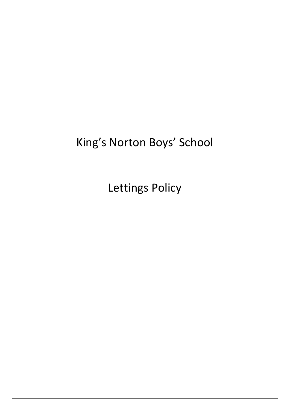# King's Norton Boys' School

Lettings Policy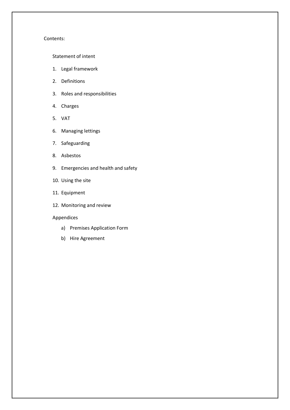# Contents:

# [Statement of intent](#page-2-0)

- 1. [Legal framework](#page-3-0)
- 2. [Definitions](#page-3-1)
- 3. [Roles and responsibilities](#page-3-2)
- 4. [Charges](#page-5-0)
- 5. [VAT](#page-6-0)
- 6. [Managing lettings](#page-6-1)
- 7. [Safeguarding](#page-7-0)
- 8. [Asbestos](#page-8-0)
- 9. [Emergencies and health and safety](#page-9-0)
- 10. [Using the site](#page-9-1)
- 11. [Equipment](#page-10-0)
- 12. [Monitoring and review](#page-11-0)

#### Appendices

- a) [Premises Application Form](#page-12-0)
- b) [Hire Agreement](#page-14-0)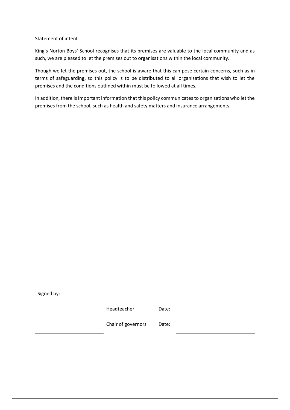#### <span id="page-2-0"></span>Statement of intent

King's Norton Boys' School recognises that its premises are valuable to the local community and as such, we are pleased to let the premises out to organisations within the local community.

Though we let the premises out, the school is aware that this can pose certain concerns, such as in terms of safeguarding, so this policy is to be distributed to all organisations that wish to let the premises and the conditions outlined within must be followed at all times.

In addition, there is important information that this policy communicates to organisations who let the premises from the school, such as health and safety matters and insurance arrangements.

Signed by:

Headteacher Date:

Chair of governors Date: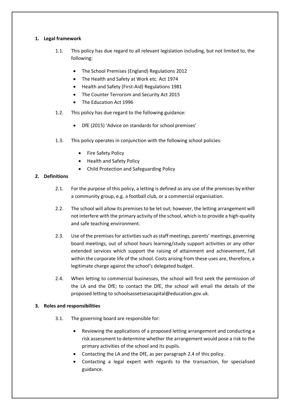# <span id="page-3-0"></span>**1. Legal framework**

- 1.1. This policy has due regard to all relevant legislation including, but not limited to, the following:
	- The School Premises (England) Regulations 2012
	- The Health and Safety at Work etc. Act 1974
	- Health and Safety (First-Aid) Regulations 1981
	- The Counter Terrorism and Security Act 2015
	- The Education Act 1996
- 1.2. This policy has due regard to the following guidance:
	- DfE (2015) 'Advice on standards for school premises'
- 1.3. This policy operates in conjunction with the following school policies:
	- Fire Safety Policy
	- Health and Safety Policy
	- Child Protection and Safeguarding Policy

# <span id="page-3-1"></span>**2. Definitions**

- 2.1. For the purpose of this policy, a letting is defined as any use of the premises by either a community group, e.g. a football club, or a commercial organisation.
- 2.2. The school will allow its premises to be let out; however, the letting arrangement will not interfere with the primary activity of the school, which is to provide a high-quality and safe teaching environment.
- 2.3. Use of the premises for activities such as staff meetings, parents' meetings, governing board meetings, out of school hours learning/study support activities or any other extended services which support the raising of attainment and achievement, fall within the corporate life of the school. Costs arising from these uses are, therefore, a legitimate charge against the school's delegated budget.
- <span id="page-3-3"></span>2.4. When letting to commercial businesses, the school will first seek the permission of the LA and the DfE; to contact the DfE, the school will email the details of the proposed letting to [schoolsassetsesacapital@education.gov.uk.](mailto:schoolsassetsesacapital@education.gov.uk)

# <span id="page-3-2"></span>**3. Roles and responsibilities**

- 3.1. The governing board are responsible for:
	- Reviewing the applications of a proposed letting arrangement and conducting a risk assessment to determine whether the arrangement would pose a risk to the primary activities of the school and its pupils.
	- Contacting the LA and the DfE, as per paragraph [2.4](#page-3-3) of this policy.
	- Contacting a legal expert with regards to the transaction, for specialised guidance.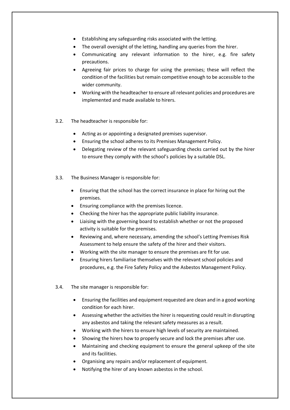- Establishing any safeguarding risks associated with the letting.
- The overall oversight of the letting, handling any queries from the hirer.
- Communicating any relevant information to the hirer, e.g. fire safety precautions.
- Agreeing fair prices to charge for using the premises; these will reflect the condition of the facilities but remain competitive enough to be accessible to the wider community.
- Working with the headteacher to ensure all relevant policies and procedures are implemented and made available to hirers.
- 3.2. The headteacher is responsible for:
	- Acting as or appointing a designated premises supervisor.
	- Ensuring the school adheres to its Premises Management Policy.
	- Delegating review of the relevant safeguarding checks carried out by the hirer to ensure they comply with the school's policies by a suitable DSL.
- 3.3. The Business Manager is responsible for:
	- Ensuring that the school has the correct insurance in place for hiring out the premises.
	- Ensuring compliance with the premises licence.
	- Checking the hirer has the appropriate public liability insurance.
	- Liaising with the governing board to establish whether or not the proposed activity is suitable for the premises.
	- Reviewing and, where necessary, amending the school's Letting Premises Risk Assessment to help ensure the safety of the hirer and their visitors.
	- Working with the site manager to ensure the premises are fit for use.
	- Ensuring hirers familiarise themselves with the relevant school policies and procedures, e.g. the Fire Safety Policy and the Asbestos Management Policy.
- 3.4. The site manager is responsible for:
	- Ensuring the facilities and equipment requested are clean and in a good working condition for each hirer.
	- Assessing whether the activities the hirer is requesting could result in disrupting any asbestos and taking the relevant safety measures as a result.
	- Working with the hirers to ensure high levels of security are maintained.
	- Showing the hirers how to properly secure and lock the premises after use.
	- Maintaining and checking equipment to ensure the general upkeep of the site and its facilities.
	- Organising any repairs and/or replacement of equipment.
	- Notifying the hirer of any known asbestos in the school.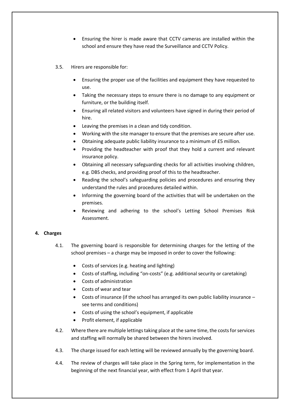- Ensuring the hirer is made aware that CCTV cameras are installed within the school and ensure they have read the Surveillance and CCTV Policy.
- 3.5. Hirers are responsible for:
	- Ensuring the proper use of the facilities and equipment they have requested to use.
	- Taking the necessary steps to ensure there is no damage to any equipment or furniture, or the building itself.
	- Ensuring all related visitors and volunteers have signed in during their period of hire.
	- Leaving the premises in a clean and tidy condition.
	- Working with the site manager to ensure that the premises are secure after use.
	- Obtaining adequate public liability insurance to a minimum of £5 million.
	- Providing the headteacher with proof that they hold a current and relevant insurance policy.
	- Obtaining all necessary safeguarding checks for all activities involving children, e.g. DBS checks, and providing proof of this to the headteacher.
	- Reading the school's safeguarding policies and procedures and ensuring they understand the rules and procedures detailed within.
	- Informing the governing board of the activities that will be undertaken on the premises.
	- Reviewing and adhering to the school's Letting School Premises Risk Assessment.

# <span id="page-5-0"></span>**4. Charges**

- 4.1. The governing board is responsible for determining charges for the letting of the school premises – a charge may be imposed in order to cover the following:
	- Costs of services (e.g. heating and lighting)
	- Costs of staffing, including "on-costs" (e.g. additional security or caretaking)
	- Costs of administration
	- Costs of wear and tear
	- Costs of insurance (if the school has arranged its own public liability insurance see terms and conditions)
	- Costs of using the school's equipment, if applicable
	- Profit element, if applicable
- 4.2. Where there are multiple lettings taking place at the same time, the costs for services and staffing will normally be shared between the hirers involved.
- 4.3. The charge issued for each letting will be reviewed annually by the governing board.
- 4.4. The review of charges will take place in the Spring term, for implementation in the beginning of the next financial year, with effect from 1 April that year.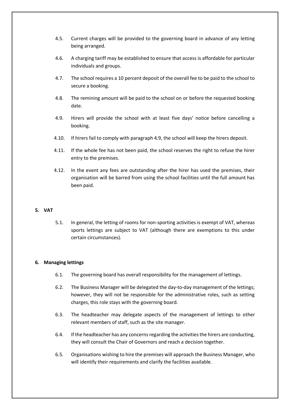- 4.5. Current charges will be provided to the governing board in advance of any letting being arranged.
- 4.6. A charging tariff may be established to ensure that access is affordable for particular individuals and groups.
- 4.7. The school requires a 10 percent deposit of the overall fee to be paid to the school to secure a booking.
- 4.8. The remining amount will be paid to the school on or before the requested booking date.
- 4.9. Hirers will provide the school with at least five days' notice before cancelling a booking.
- 4.10. If hirers fail to comply with paragraph 4.9, the school will keep the hirers deposit.
- 4.11. If the whole fee has not been paid, the school reserves the right to refuse the hirer entry to the premises.
- 4.12. In the event any fees are outstanding after the hirer has used the premises, their organisation will be barred from using the school facilities until the full amount has been paid.

# <span id="page-6-0"></span>**5. VAT**

5.1. In general, the letting of rooms for non-sporting activities is exempt of VAT, whereas sports lettings are subject to VAT (although there are exemptions to this under certain circumstances).

# <span id="page-6-1"></span>**6. Managing lettings**

- 6.1. The governing board has overall responsibility for the management of lettings.
- 6.2. The Business Manager will be delegated the day-to-day management of the lettings; however, they will not be responsible for the administrative roles, such as setting charges, this role stays with the governing board.
- 6.3. The headteacher may delegate aspects of the management of lettings to other relevant members of staff, such as the site manager.
- 6.4. If the headteacher has any concerns regarding the activities the hirers are conducting, they will consult the Chair of Governors and reach a decision together.
- 6.5. Organisations wishing to hire the premises will approach the Business Manager, who will identify their requirements and clarify the facilities available.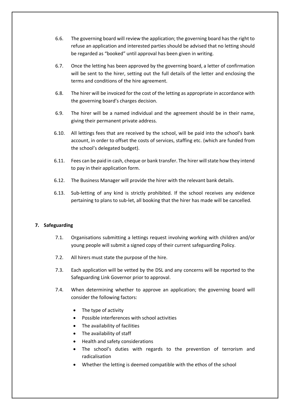- 6.6. The governing board will review the application; the governing board has the right to refuse an application and interested parties should be advised that no letting should be regarded as "booked" until approval has been given in writing.
- 6.7. Once the letting has been approved by the governing board, a letter of confirmation will be sent to the hirer, setting out the full details of the letter and enclosing the terms and conditions of the hire agreement.
- 6.8. The hirer will be invoiced for the cost of the letting as appropriate in accordance with the governing board's charges decision.
- 6.9. The hirer will be a named individual and the agreement should be in their name, giving their permanent private address.
- 6.10. All lettings fees that are received by the school, will be paid into the school's bank account, in order to offset the costs of services, staffing etc. (which are funded from the school's delegated budget).
- 6.11. Fees can be paid in cash, cheque or bank transfer. The hirer will state how they intend to pay in their application form.
- 6.12. The Business Manager will provide the hirer with the relevant bank details.
- 6.13. Sub-letting of any kind is strictly prohibited. If the school receives any evidence pertaining to plans to sub-let, all booking that the hirer has made will be cancelled.

# <span id="page-7-0"></span>**7. Safeguarding**

- 7.1. Organisations submitting a lettings request involving working with children and/or young people will submit a signed copy of their current safeguarding Policy.
- 7.2. All hirers must state the purpose of the hire.
- 7.3. Each application will be vetted by the DSL and any concerns will be reported to the Safeguarding Link Governor prior to approval.
- 7.4. When determining whether to approve an application; the governing board will consider the following factors:
	- The type of activity
	- Possible interferences with school activities
	- The availability of facilities
	- The availability of staff
	- Health and safety considerations
	- The school's duties with regards to the prevention of terrorism and radicalisation
	- Whether the letting is deemed compatible with the ethos of the school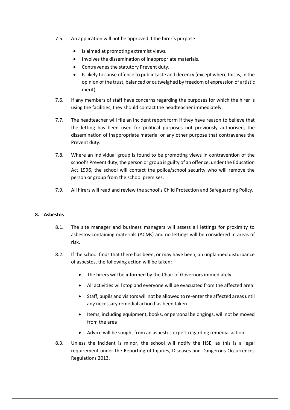- 7.5. An application will not be approved if the hirer's purpose:
	- Is aimed at promoting extremist views.
	- Involves the dissemination of inappropriate materials.
	- Contravenes the statutory Prevent duty.
	- Is likely to cause offence to public taste and decency (except where this is, in the opinion of the trust, balanced or outweighed by freedom of expression of artistic merit).
- 7.6. If any members of staff have concerns regarding the purposes for which the hirer is using the facilities, they should contact the headteacher immediately.
- 7.7. The headteacher will file an incident report form if they have reason to believe that the letting has been used for political purposes not previously authorised, the dissemination of inappropriate material or any other purpose that contravenes the Prevent duty.
- 7.8. Where an individual group is found to be promoting views in contravention of the school's Prevent duty, the person or group is guilty of an offence, under the Education Act 1996, the school will contact the police/school security who will remove the person or group from the school premises.
- 7.9. All hirers will read and review the school's Child Protection and Safeguarding Policy.

#### <span id="page-8-0"></span>**8. Asbestos**

- 8.1. The site manager and business managers will assess all lettings for proximity to asbestos-containing materials (ACMs) and no lettings will be considered in areas of risk.
- 8.2. If the school finds that there has been, or may have been, an unplanned disturbance of asbestos, the following action will be taken:
	- The hirers will be informed by the Chair of Governors immediately
	- All activities will stop and everyone will be evacuated from the affected area
	- Staff, pupils and visitors will not be allowed to re-enter the affected areas until any necessary remedial action has been taken
	- Items, including equipment, books, or personal belongings, will not be moved from the area
	- Advice will be sought from an asbestos expert regarding remedial action
- 8.3. Unless the incident is minor, the school will notify the HSE, as this is a legal requirement under the Reporting of Injuries, Diseases and Dangerous Occurrences Regulations 2013.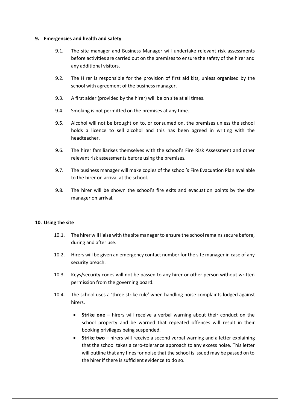#### <span id="page-9-0"></span>**9. Emergencies and health and safety**

- 9.1. The site manager and Business Manager will undertake relevant risk assessments before activities are carried out on the premises to ensure the safety of the hirer and any additional visitors.
- 9.2. The Hirer is responsible for the provision of first aid kits, unless organised by the school with agreement of the business manager.
- 9.3. A first aider (provided by the hirer) will be on site at all times.
- 9.4. Smoking is not permitted on the premises at any time.
- 9.5. Alcohol will not be brought on to, or consumed on, the premises unless the school holds a licence to sell alcohol and this has been agreed in writing with the headteacher.
- 9.6. The hirer familiarises themselves with the school's Fire Risk Assessment and other relevant risk assessments before using the premises.
- 9.7. The business manager will make copies of the school's Fire Evacuation Plan available to the hirer on arrival at the school.
- 9.8. The hirer will be shown the school's fire exits and evacuation points by the site manager on arrival.

# <span id="page-9-1"></span>**10. Using the site**

- 10.1. The hirer will liaise with the site manager to ensure the school remains secure before, during and after use.
- 10.2. Hirers will be given an emergency contact number for the site manager in case of any security breach.
- 10.3. Keys/security codes will not be passed to any hirer or other person without written permission from the governing board.
- 10.4. The school uses a 'three strike rule' when handling noise complaints lodged against hirers.
	- **Strike one** hirers will receive a verbal warning about their conduct on the school property and be warned that repeated offences will result in their booking privileges being suspended.
	- **Strike two** hirers will receive a second verbal warning and a letter explaining that the school takes a zero-tolerance approach to any excess noise. This letter will outline that any fines for noise that the school is issued may be passed on to the hirer if there is sufficient evidence to do so.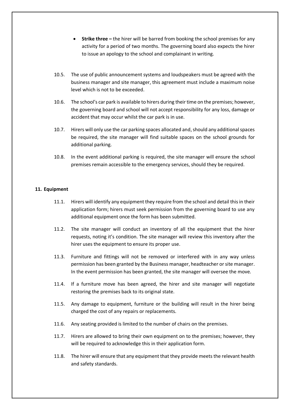- **Strike three** the hirer will be barred from booking the school premises for any activity for a period of two months. The governing board also expects the hirer to issue an apology to the school and complainant in writing.
- 10.5. The use of public announcement systems and loudspeakers must be agreed with the business manager and site manager, this agreement must include a maximum noise level which is not to be exceeded.
- 10.6. The school's car park is available to hirers during their time on the premises; however, the governing board and school will not accept responsibility for any loss, damage or accident that may occur whilst the car park is in use.
- 10.7. Hirers will only use the car parking spaces allocated and, should any additional spaces be required, the site manager will find suitable spaces on the school grounds for additional parking.
- 10.8. In the event additional parking is required, the site manager will ensure the school premises remain accessible to the emergency services, should they be required.

# <span id="page-10-0"></span>**11. Equipment**

- 11.1. Hirers will identify any equipment they require from the school and detail this in their application form; hirers must seek permission from the governing board to use any additional equipment once the form has been submitted.
- 11.2. The site manager will conduct an inventory of all the equipment that the hirer requests, noting it's condition. The site manager will review this inventory after the hirer uses the equipment to ensure its proper use.
- 11.3. Furniture and fittings will not be removed or interfered with in any way unless permission has been granted by the Business manager, headteacher or site manager. In the event permission has been granted, the site manager will oversee the move.
- 11.4. If a furniture move has been agreed, the hirer and site manager will negotiate restoring the premises back to its original state.
- 11.5. Any damage to equipment, furniture or the building will result in the hirer being charged the cost of any repairs or replacements.
- 11.6. Any seating provided is limited to the number of chairs on the premises.
- 11.7. Hirers are allowed to bring their own equipment on to the premises; however, they will be required to acknowledge this in their application form.
- 11.8. The hirer will ensure that any equipment that they provide meets the relevant health and safety standards.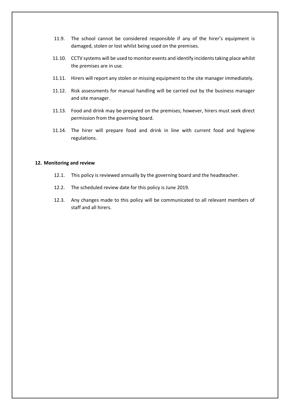- 11.9. The school cannot be considered responsible if any of the hirer's equipment is damaged, stolen or lost whilst being used on the premises.
- 11.10. CCTV systems will be used to monitor events and identify incidents taking place whilst the premises are in use.
- 11.11. Hirers will report any stolen or missing equipment to the site manager immediately.
- 11.12. Risk assessments for manual handling will be carried out by the business manager and site manager.
- 11.13. Food and drink may be prepared on the premises; however, hirers must seek direct permission from the governing board.
- 11.14. The hirer will prepare food and drink in line with current food and hygiene regulations.

# <span id="page-11-0"></span>**12. Monitoring and review**

- 12.1. This policy is reviewed annually by the governing board and the headteacher.
- 12.2. The scheduled review date for this policy is June 2019.
- 12.3. Any changes made to this policy will be communicated to all relevant members of staff and all hirers.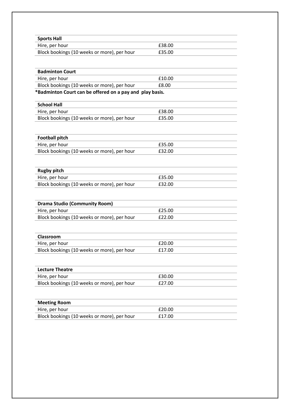<span id="page-12-0"></span>

| <b>Sports Hall</b>                                       |        |
|----------------------------------------------------------|--------|
| Hire, per hour                                           | £38.00 |
| Block bookings (10 weeks or more), per hour              | £35.00 |
| <b>Badminton Court</b>                                   |        |
| Hire, per hour                                           | £10.00 |
| Block bookings (10 weeks or more), per hour              | £8.00  |
| *Badminton Court can be offered on a pay and play basis. |        |
| <b>School Hall</b>                                       |        |
| Hire, per hour                                           | £38.00 |
| Block bookings (10 weeks or more), per hour              | £35.00 |
| <b>Football pitch</b>                                    |        |
| Hire, per hour                                           | £35.00 |
| Block bookings (10 weeks or more), per hour              | £32.00 |
|                                                          |        |
| <b>Rugby pitch</b>                                       |        |
| Hire, per hour                                           | £35.00 |
| Block bookings (10 weeks or more), per hour              | £32.00 |
| <b>Drama Studio (Community Room)</b>                     |        |
| Hire, per hour                                           | £25.00 |
| Block bookings (10 weeks or more), per hour              | £22.00 |
|                                                          |        |
| Classroom                                                |        |
| Hire, per hour                                           | £20.00 |
| Block bookings (10 weeks or more), per hour              | £17.00 |
| <b>Lecture Theatre</b>                                   |        |
| Hire, per hour                                           | £30.00 |
| Block bookings (10 weeks or more), per hour              | £27.00 |
|                                                          |        |
| <b>Meeting Room</b>                                      |        |
| Hire, per hour                                           | £20.00 |

Block bookings (10 weeks or more), per hour £17.00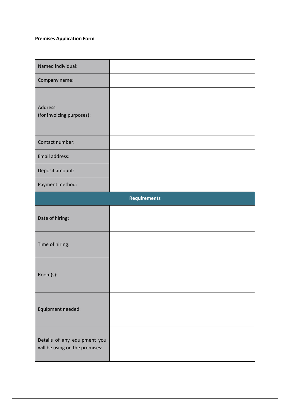# **Premises Application Form**

| Named individual:                                              |  |  |
|----------------------------------------------------------------|--|--|
| Company name:                                                  |  |  |
| Address<br>(for invoicing purposes):                           |  |  |
| Contact number:                                                |  |  |
| Email address:                                                 |  |  |
| Deposit amount:                                                |  |  |
| Payment method:                                                |  |  |
| <b>Requirements</b>                                            |  |  |
| Date of hiring:                                                |  |  |
| Time of hiring:                                                |  |  |
| Room(s):                                                       |  |  |
| Equipment needed:                                              |  |  |
| Details of any equipment you<br>will be using on the premises: |  |  |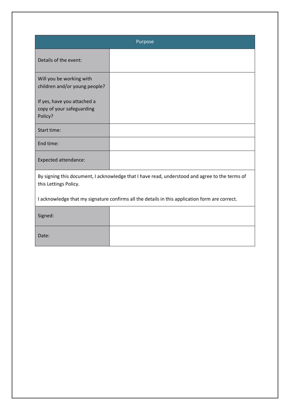<span id="page-14-0"></span>

| Purpose                                                                                                                 |  |  |
|-------------------------------------------------------------------------------------------------------------------------|--|--|
| Details of the event:                                                                                                   |  |  |
| Will you be working with<br>children and/or young people?                                                               |  |  |
| If yes, have you attached a<br>copy of your safeguarding<br>Policy?                                                     |  |  |
| Start time:                                                                                                             |  |  |
| End time:                                                                                                               |  |  |
| <b>Expected attendance:</b>                                                                                             |  |  |
| By signing this document, I acknowledge that I have read, understood and agree to the terms of<br>this Lettings Policy. |  |  |
| I acknowledge that my signature confirms all the details in this application form are correct.                          |  |  |
| Signed:                                                                                                                 |  |  |
| Date:                                                                                                                   |  |  |